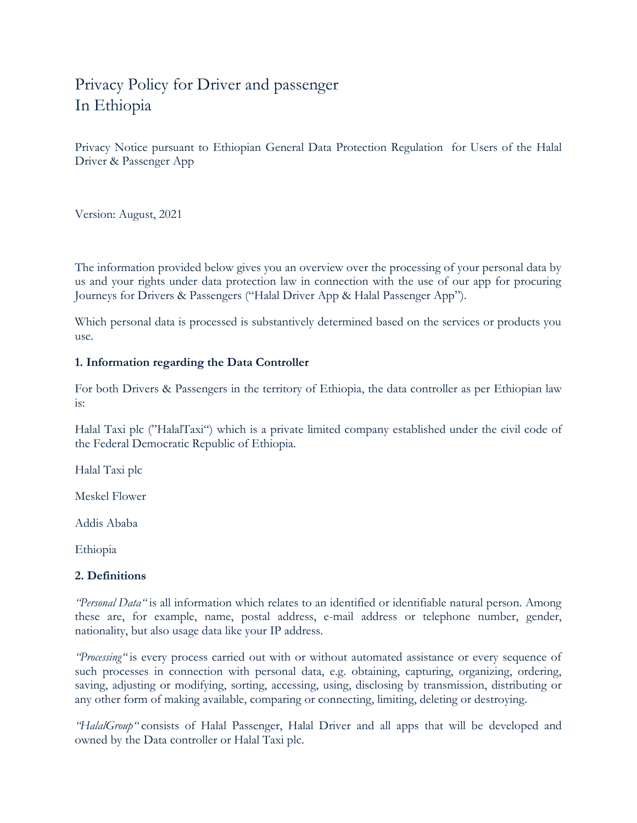# Privacy Policy for Driver and passenger In Ethiopia

Privacy Notice pursuant to Ethiopian General Data Protection Regulation for Users of the Halal Driver & Passenger App

Version: August, 2021

The information provided below gives you an overview over the processing of your personal data by us and your rights under data protection law in connection with the use of our app for procuring Journeys for Drivers & Passengers ("Halal Driver App & Halal Passenger App").

Which personal data is processed is substantively determined based on the services or products you use.

# **1. Information regarding the Data Controller**

For both Drivers & Passengers in the territory of Ethiopia, the data controller as per Ethiopian law is:

Halal Taxi plc ("HalalTaxi") which is a private limited company established under the civil code of the Federal Democratic Republic of Ethiopia.

Halal Taxi plc

Meskel Flower

Addis Ababa

Ethiopia

# **2. Definitions**

*"Personal Data"* is all information which relates to an identified or identifiable natural person. Among these are, for example, name, postal address, e-mail address or telephone number, gender, nationality, but also usage data like your IP address.

*"Processing"* is every process carried out with or without automated assistance or every sequence of such processes in connection with personal data, e.g. obtaining, capturing, organizing, ordering, saving, adjusting or modifying, sorting, accessing, using, disclosing by transmission, distributing or any other form of making available, comparing or connecting, limiting, deleting or destroying.

*"HalalGroup"* consists of Halal Passenger, Halal Driver and all apps that will be developed and owned by the Data controller or Halal Taxi plc.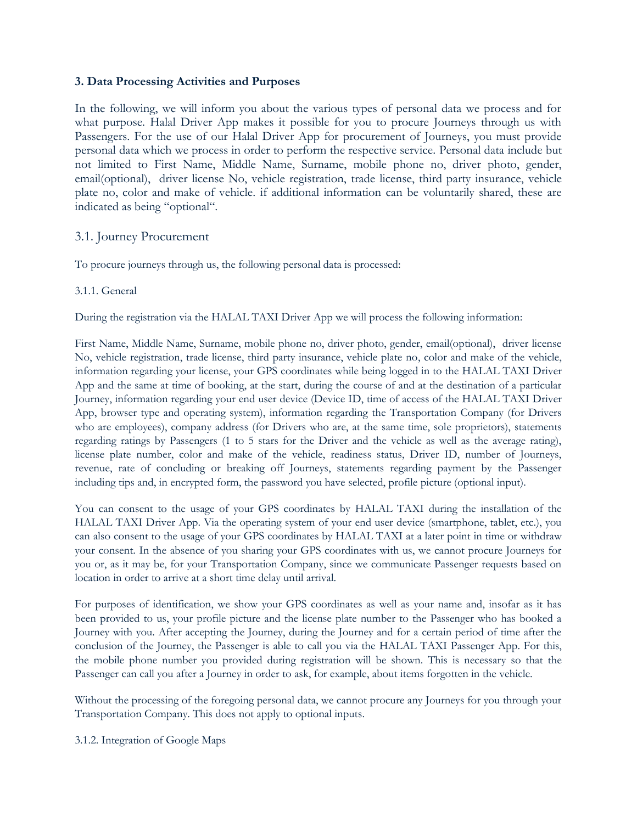# **3. Data Processing Activities and Purposes**

In the following, we will inform you about the various types of personal data we process and for what purpose. Halal Driver App makes it possible for you to procure Journeys through us with Passengers. For the use of our Halal Driver App for procurement of Journeys, you must provide personal data which we process in order to perform the respective service. Personal data include but not limited to First Name, Middle Name, Surname, mobile phone no, driver photo, gender, email(optional), driver license No, vehicle registration, trade license, third party insurance, vehicle plate no, color and make of vehicle. if additional information can be voluntarily shared, these are indicated as being "optional".

# 3.1. Journey Procurement

To procure journeys through us, the following personal data is processed:

# 3.1.1. General

During the registration via the HALAL TAXI Driver App we will process the following information:

First Name, Middle Name, Surname, mobile phone no, driver photo, gender, email(optional), driver license No, vehicle registration, trade license, third party insurance, vehicle plate no, color and make of the vehicle, information regarding your license, your GPS coordinates while being logged in to the HALAL TAXI Driver App and the same at time of booking, at the start, during the course of and at the destination of a particular Journey, information regarding your end user device (Device ID, time of access of the HALAL TAXI Driver App, browser type and operating system), information regarding the Transportation Company (for Drivers who are employees), company address (for Drivers who are, at the same time, sole proprietors), statements regarding ratings by Passengers (1 to 5 stars for the Driver and the vehicle as well as the average rating), license plate number, color and make of the vehicle, readiness status, Driver ID, number of Journeys, revenue, rate of concluding or breaking off Journeys, statements regarding payment by the Passenger including tips and, in encrypted form, the password you have selected, profile picture (optional input).

You can consent to the usage of your GPS coordinates by HALAL TAXI during the installation of the HALAL TAXI Driver App. Via the operating system of your end user device (smartphone, tablet, etc.), you can also consent to the usage of your GPS coordinates by HALAL TAXI at a later point in time or withdraw your consent. In the absence of you sharing your GPS coordinates with us, we cannot procure Journeys for you or, as it may be, for your Transportation Company, since we communicate Passenger requests based on location in order to arrive at a short time delay until arrival.

For purposes of identification, we show your GPS coordinates as well as your name and, insofar as it has been provided to us, your profile picture and the license plate number to the Passenger who has booked a Journey with you. After accepting the Journey, during the Journey and for a certain period of time after the conclusion of the Journey, the Passenger is able to call you via the HALAL TAXI Passenger App. For this, the mobile phone number you provided during registration will be shown. This is necessary so that the Passenger can call you after a Journey in order to ask, for example, about items forgotten in the vehicle.

Without the processing of the foregoing personal data, we cannot procure any Journeys for you through your Transportation Company. This does not apply to optional inputs.

3.1.2. Integration of Google Maps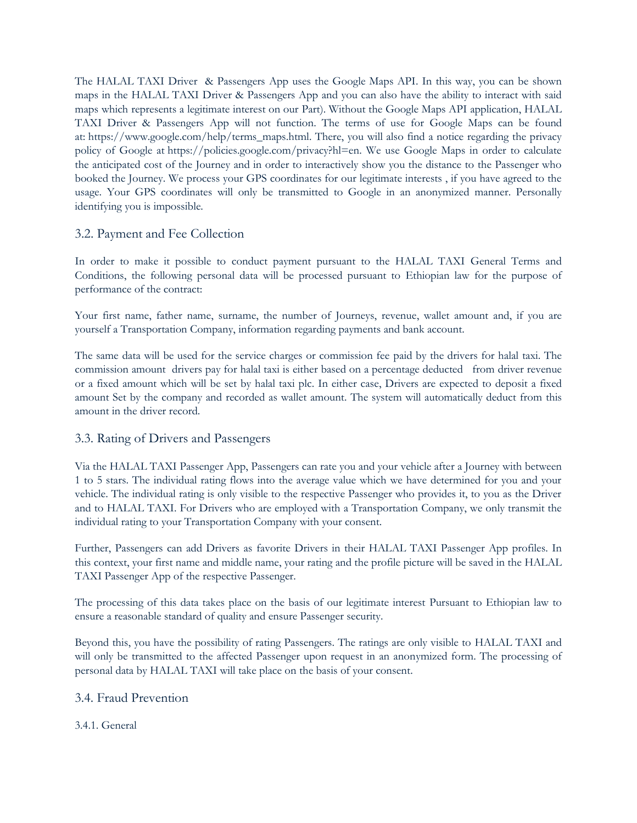The HALAL TAXI Driver & Passengers App uses the Google Maps API. In this way, you can be shown maps in the HALAL TAXI Driver & Passengers App and you can also have the ability to interact with said maps which represents a legitimate interest on our Part). Without the Google Maps API application, HALAL TAXI Driver & Passengers App will not function. The terms of use for Google Maps can be found at: [https://www.google.com/help/terms\\_maps.html.](https://www.google.com/help/terms_maps.html) There, you will also find a notice regarding the privacy policy of Google at [https://policies.google.com/privacy?hl=en.](https://policies.google.com/privacy?hl=en) We use Google Maps in order to calculate the anticipated cost of the Journey and in order to interactively show you the distance to the Passenger who booked the Journey. We process your GPS coordinates for our legitimate interests , if you have agreed to the usage. Your GPS coordinates will only be transmitted to Google in an anonymized manner. Personally identifying you is impossible.

# 3.2. Payment and Fee Collection

In order to make it possible to conduct payment pursuant to the HALAL TAXI General Terms and Conditions, the following personal data will be processed pursuant to Ethiopian law for the purpose of performance of the contract:

Your first name, father name, surname, the number of Journeys, revenue, wallet amount and, if you are yourself a Transportation Company, information regarding payments and bank account.

The same data will be used for the service charges or commission fee paid by the drivers for halal taxi. The commission amount drivers pay for halal taxi is either based on a percentage deducted from driver revenue or a fixed amount which will be set by halal taxi plc. In either case, Drivers are expected to deposit a fixed amount Set by the company and recorded as wallet amount. The system will automatically deduct from this amount in the driver record.

# 3.3. Rating of Drivers and Passengers

Via the HALAL TAXI Passenger App, Passengers can rate you and your vehicle after a Journey with between 1 to 5 stars. The individual rating flows into the average value which we have determined for you and your vehicle. The individual rating is only visible to the respective Passenger who provides it, to you as the Driver and to HALAL TAXI. For Drivers who are employed with a Transportation Company, we only transmit the individual rating to your Transportation Company with your consent.

Further, Passengers can add Drivers as favorite Drivers in their HALAL TAXI Passenger App profiles. In this context, your first name and middle name, your rating and the profile picture will be saved in the HALAL TAXI Passenger App of the respective Passenger.

The processing of this data takes place on the basis of our legitimate interest Pursuant to Ethiopian law to ensure a reasonable standard of quality and ensure Passenger security.

Beyond this, you have the possibility of rating Passengers. The ratings are only visible to HALAL TAXI and will only be transmitted to the affected Passenger upon request in an anonymized form. The processing of personal data by HALAL TAXI will take place on the basis of your consent.

# 3.4. Fraud Prevention

# 3.4.1. General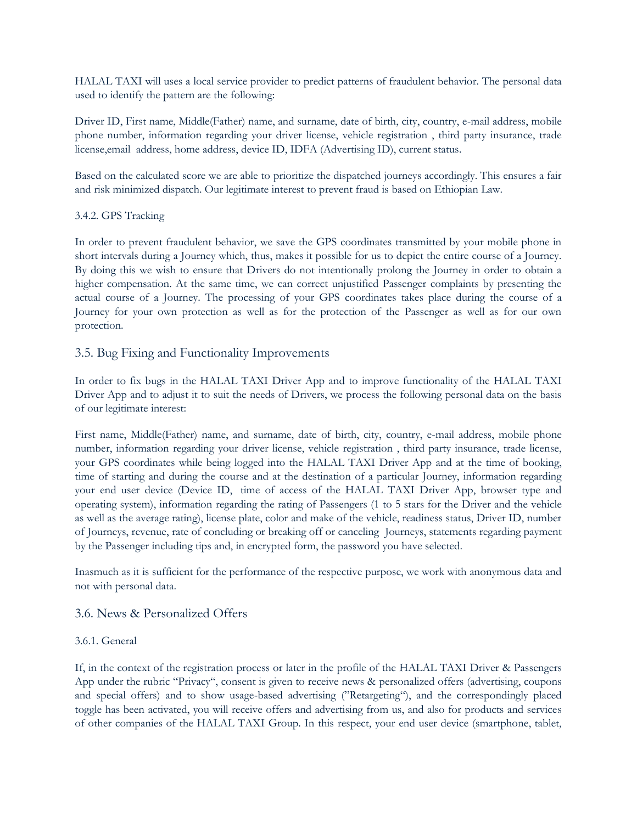HALAL TAXI will uses a local service provider to predict patterns of fraudulent behavior. The personal data used to identify the pattern are the following:

Driver ID, First name, Middle(Father) name, and surname, date of birth, city, country, e-mail address, mobile phone number, information regarding your driver license, vehicle registration , third party insurance, trade license,email address, home address, device ID, IDFA (Advertising ID), current status.

Based on the calculated score we are able to prioritize the dispatched journeys accordingly. This ensures a fair and risk minimized dispatch. Our legitimate interest to prevent fraud is based on Ethiopian Law.

# 3.4.2. GPS Tracking

In order to prevent fraudulent behavior, we save the GPS coordinates transmitted by your mobile phone in short intervals during a Journey which, thus, makes it possible for us to depict the entire course of a Journey. By doing this we wish to ensure that Drivers do not intentionally prolong the Journey in order to obtain a higher compensation. At the same time, we can correct unjustified Passenger complaints by presenting the actual course of a Journey. The processing of your GPS coordinates takes place during the course of a Journey for your own protection as well as for the protection of the Passenger as well as for our own protection.

# 3.5. Bug Fixing and Functionality Improvements

In order to fix bugs in the HALAL TAXI Driver App and to improve functionality of the HALAL TAXI Driver App and to adjust it to suit the needs of Drivers, we process the following personal data on the basis of our legitimate interest:

First name, Middle(Father) name, and surname, date of birth, city, country, e-mail address, mobile phone number, information regarding your driver license, vehicle registration , third party insurance, trade license, your GPS coordinates while being logged into the HALAL TAXI Driver App and at the time of booking, time of starting and during the course and at the destination of a particular Journey, information regarding your end user device (Device ID, time of access of the HALAL TAXI Driver App, browser type and operating system), information regarding the rating of Passengers (1 to 5 stars for the Driver and the vehicle as well as the average rating), license plate, color and make of the vehicle, readiness status, Driver ID, number of Journeys, revenue, rate of concluding or breaking off or canceling Journeys, statements regarding payment by the Passenger including tips and, in encrypted form, the password you have selected.

Inasmuch as it is sufficient for the performance of the respective purpose, we work with anonymous data and not with personal data.

# 3.6. News & Personalized Offers

# 3.6.1. General

If, in the context of the registration process or later in the profile of the HALAL TAXI Driver & Passengers App under the rubric "Privacy", consent is given to receive news & personalized offers (advertising, coupons and special offers) and to show usage-based advertising ("Retargeting"), and the correspondingly placed toggle has been activated, you will receive offers and advertising from us, and also for products and services of other companies of the HALAL TAXI Group. In this respect, your end user device (smartphone, tablet,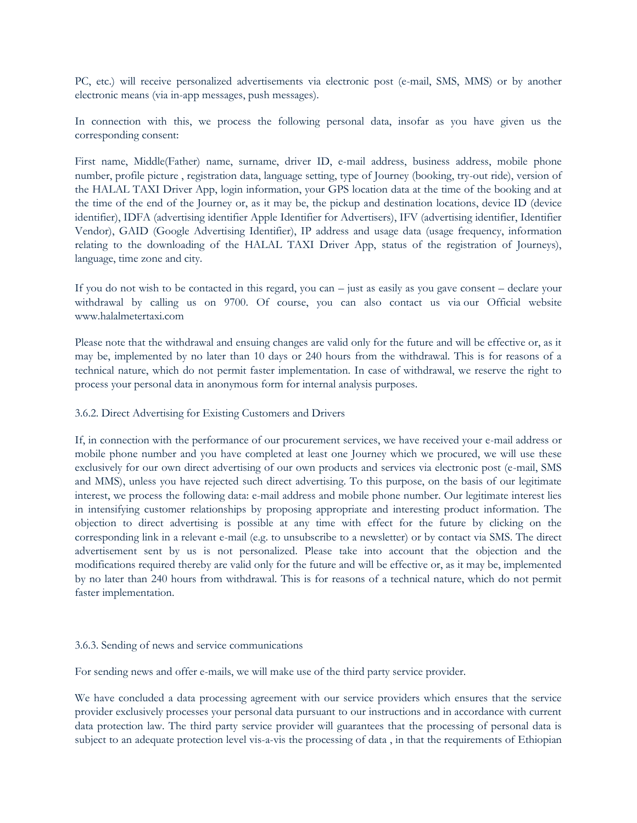PC, etc.) will receive personalized advertisements via electronic post (e-mail, SMS, MMS) or by another electronic means (via in-app messages, push messages).

In connection with this, we process the following personal data, insofar as you have given us the corresponding consent:

First name, Middle(Father) name, surname, driver ID, e-mail address, business address, mobile phone number, profile picture , registration data, language setting, type of Journey (booking, try-out ride), version of the HALAL TAXI Driver App, login information, your GPS location data at the time of the booking and at the time of the end of the Journey or, as it may be, the pickup and destination locations, device ID (device identifier), IDFA (advertising identifier Apple Identifier for Advertisers), IFV (advertising identifier, Identifier Vendor), GAID (Google Advertising Identifier), IP address and usage data (usage frequency, information relating to the downloading of the HALAL TAXI Driver App, status of the registration of Journeys), language, time zone and city.

If you do not wish to be contacted in this regard, you can – just as easily as you gave consent – declare your withdrawal by calling us on 9700. Of course, you can also contact us via our Official website www.halalmetertaxi.com

Please note that the withdrawal and ensuing changes are valid only for the future and will be effective or, as it may be, implemented by no later than 10 days or 240 hours from the withdrawal. This is for reasons of a technical nature, which do not permit faster implementation. In case of withdrawal, we reserve the right to process your personal data in anonymous form for internal analysis purposes.

#### 3.6.2. Direct Advertising for Existing Customers and Drivers

If, in connection with the performance of our procurement services, we have received your e-mail address or mobile phone number and you have completed at least one Journey which we procured, we will use these exclusively for our own direct advertising of our own products and services via electronic post (e-mail, SMS and MMS), unless you have rejected such direct advertising. To this purpose, on the basis of our legitimate interest, we process the following data: e-mail address and mobile phone number. Our legitimate interest lies in intensifying customer relationships by proposing appropriate and interesting product information. The objection to direct advertising is possible at any time with effect for the future by clicking on the corresponding link in a relevant e-mail (e.g. to unsubscribe to a newsletter) or by contact via SMS. The direct advertisement sent by us is not personalized. Please take into account that the objection and the modifications required thereby are valid only for the future and will be effective or, as it may be, implemented by no later than 240 hours from withdrawal. This is for reasons of a technical nature, which do not permit faster implementation.

#### 3.6.3. Sending of news and service communications

For sending news and offer e-mails, we will make use of the third party service provider.

We have concluded a data processing agreement with our service providers which ensures that the service provider exclusively processes your personal data pursuant to our instructions and in accordance with current data protection law. The third party service provider will guarantees that the processing of personal data is subject to an adequate protection level vis-a-vis the processing of data , in that the requirements of Ethiopian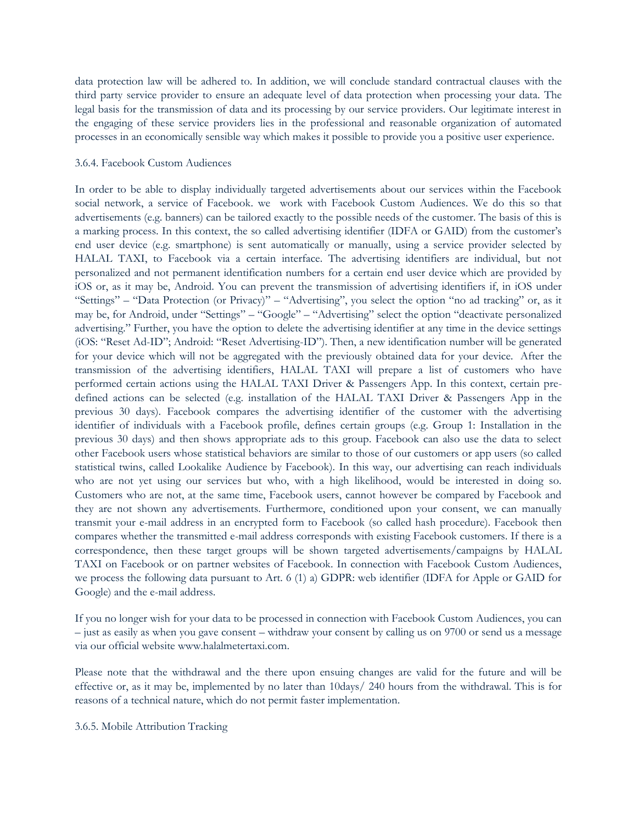data protection law will be adhered to. In addition, we will conclude standard contractual clauses with the third party service provider to ensure an adequate level of data protection when processing your data. The legal basis for the transmission of data and its processing by our service providers. Our legitimate interest in the engaging of these service providers lies in the professional and reasonable organization of automated processes in an economically sensible way which makes it possible to provide you a positive user experience.

#### 3.6.4. Facebook Custom Audiences

In order to be able to display individually targeted advertisements about our services within the Facebook social network, a service of Facebook. we work with Facebook Custom Audiences. We do this so that advertisements (e.g. banners) can be tailored exactly to the possible needs of the customer. The basis of this is a marking process. In this context, the so called advertising identifier (IDFA or GAID) from the customer"s end user device (e.g. smartphone) is sent automatically or manually, using a service provider selected by HALAL TAXI, to Facebook via a certain interface. The advertising identifiers are individual, but not personalized and not permanent identification numbers for a certain end user device which are provided by iOS or, as it may be, Android. You can prevent the transmission of advertising identifiers if, in iOS under "Settings" – "Data Protection (or Privacy)" – "Advertising", you select the option "no ad tracking" or, as it may be, for Android, under "Settings" – "Google" – "Advertising" select the option "deactivate personalized advertising." Further, you have the option to delete the advertising identifier at any time in the device settings (iOS: "Reset Ad-ID"; Android: "Reset Advertising-ID"). Then, a new identification number will be generated for your device which will not be aggregated with the previously obtained data for your device. After the transmission of the advertising identifiers, HALAL TAXI will prepare a list of customers who have performed certain actions using the HALAL TAXI Driver & Passengers App. In this context, certain predefined actions can be selected (e.g. installation of the HALAL TAXI Driver & Passengers App in the previous 30 days). Facebook compares the advertising identifier of the customer with the advertising identifier of individuals with a Facebook profile, defines certain groups (e.g. Group 1: Installation in the previous 30 days) and then shows appropriate ads to this group. Facebook can also use the data to select other Facebook users whose statistical behaviors are similar to those of our customers or app users (so called statistical twins, called Lookalike Audience by Facebook). In this way, our advertising can reach individuals who are not yet using our services but who, with a high likelihood, would be interested in doing so. Customers who are not, at the same time, Facebook users, cannot however be compared by Facebook and they are not shown any advertisements. Furthermore, conditioned upon your consent, we can manually transmit your e-mail address in an encrypted form to Facebook (so called hash procedure). Facebook then compares whether the transmitted e-mail address corresponds with existing Facebook customers. If there is a correspondence, then these target groups will be shown targeted advertisements/campaigns by HALAL TAXI on Facebook or on partner websites of Facebook. In connection with Facebook Custom Audiences, we process the following data pursuant to Art. 6 (1) a) GDPR: web identifier (IDFA for Apple or GAID for Google) and the e-mail address.

If you no longer wish for your data to be processed in connection with Facebook Custom Audiences, you can – just as easily as when you gave consent – withdraw your consent by calling us on 9700 or send us a message via our official website www.halalmetertaxi.com.

Please note that the withdrawal and the there upon ensuing changes are valid for the future and will be effective or, as it may be, implemented by no later than 10days/ 240 hours from the withdrawal. This is for reasons of a technical nature, which do not permit faster implementation.

3.6.5. Mobile Attribution Tracking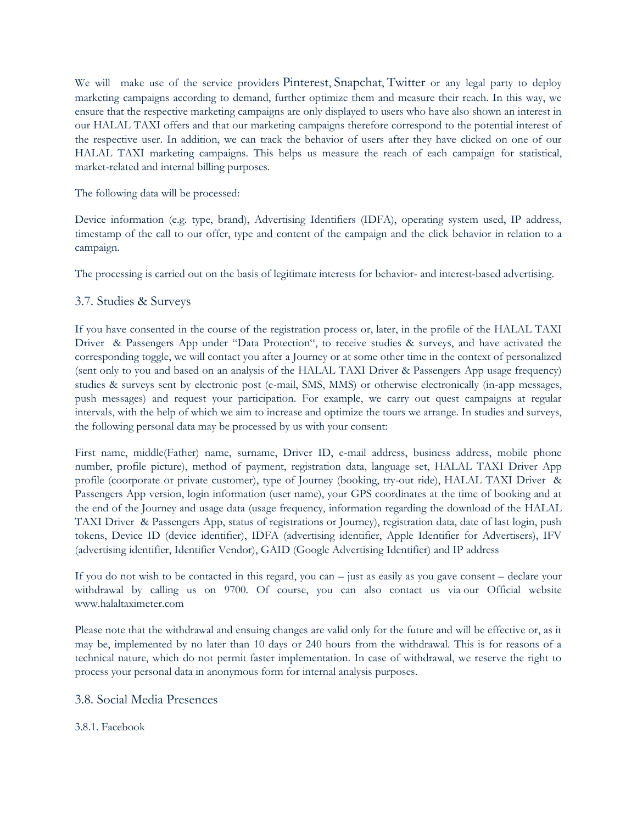We will make use of the service providers Pinterest, Snapchat, Twitter or any legal party to deploy marketing campaigns according to demand, further optimize them and measure their reach. In this way, we ensure that the respective marketing campaigns are only displayed to users who have also shown an interest in our HALAL TAXI offers and that our marketing campaigns therefore correspond to the potential interest of the respective user. In addition, we can track the behavior of users after they have clicked on one of our HALAL TAXI marketing campaigns. This helps us measure the reach of each campaign for statistical, market-related and internal billing purposes.

### The following data will be processed:

Device information (e.g. type, brand), Advertising Identifiers (IDFA), operating system used, IP address, timestamp of the call to our offer, type and content of the campaign and the click behavior in relation to a campaign.

The processing is carried out on the basis of legitimate interests for behavior- and interest-based advertising.

# 3.7. Studies & Surveys

If you have consented in the course of the registration process or, later, in the profile of the HALAL TAXI Driver & Passengers App under "Data Protection", to receive studies & surveys, and have activated the corresponding toggle, we will contact you after a Journey or at some other time in the context of personalized (sent only to you and based on an analysis of the HALAL TAXI Driver & Passengers App usage frequency) studies & surveys sent by electronic post (e-mail, SMS, MMS) or otherwise electronically (in-app messages, push messages) and request your participation. For example, we carry out quest campaigns at regular intervals, with the help of which we aim to increase and optimize the tours we arrange. In studies and surveys, the following personal data may be processed by us with your consent:

First name, middle(Father) name, surname, Driver ID, e-mail address, business address, mobile phone number, profile picture), method of payment, registration data, language set, HALAL TAXI Driver App profile (coorporate or private customer), type of Journey (booking, try-out ride), HALAL TAXI Driver & Passengers App version, login information (user name), your GPS coordinates at the time of booking and at the end of the Journey and usage data (usage frequency, information regarding the download of the HALAL TAXI Driver & Passengers App, status of registrations or Journey), registration data, date of last login, push tokens, Device ID (device identifier), IDFA (advertising identifier, Apple Identifier for Advertisers), IFV (advertising identifier, Identifier Vendor), GAID (Google Advertising Identifier) and IP address

If you do not wish to be contacted in this regard, you can – just as easily as you gave consent – declare your withdrawal by calling us on 9700. Of course, you can also contact us via our Official website www.halaltaximeter.com

Please note that the withdrawal and ensuing changes are valid only for the future and will be effective or, as it may be, implemented by no later than 10 days or 240 hours from the withdrawal. This is for reasons of a technical nature, which do not permit faster implementation. In case of withdrawal, we reserve the right to process your personal data in anonymous form for internal analysis purposes.

# 3.8. Social Media Presences

# 3.8.1. Facebook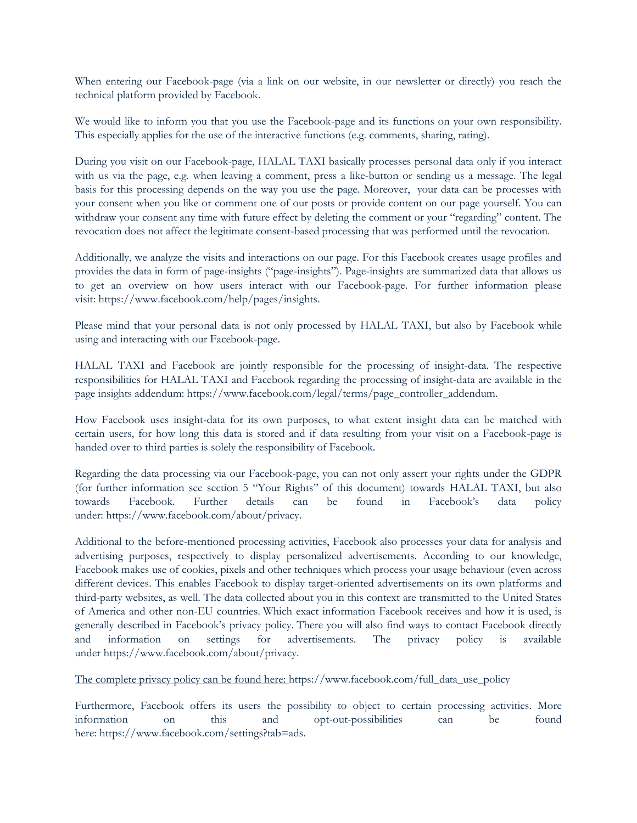When entering our Facebook-page (via a link on our website, in our newsletter or directly) you reach the technical platform provided by Facebook.

We would like to inform you that you use the Facebook-page and its functions on your own responsibility. This especially applies for the use of the interactive functions (e.g. comments, sharing, rating).

During you visit on our Facebook-page, HALAL TAXI basically processes personal data only if you interact with us via the page, e.g. when leaving a comment, press a like-button or sending us a message. The legal basis for this processing depends on the way you use the page. Moreover, your data can be processes with your consent when you like or comment one of our posts or provide content on our page yourself. You can withdraw your consent any time with future effect by deleting the comment or your "regarding" content. The revocation does not affect the legitimate consent-based processing that was performed until the revocation.

Additionally, we analyze the visits and interactions on our page. For this Facebook creates usage profiles and provides the data in form of page-insights ("page-insights"). Page-insights are summarized data that allows us to get an overview on how users interact with our Facebook-page. For further information please visit: [https://www.facebook.com/help/pages/insights.](https://www.facebook.com/help/pages/insights)

Please mind that your personal data is not only processed by HALAL TAXI, but also by Facebook while using and interacting with our Facebook-page.

HALAL TAXI and Facebook are jointly responsible for the processing of insight-data. The respective responsibilities for HALAL TAXI and Facebook regarding the processing of insight-data are available in the page insights addendum: [https://www.facebook.com/legal/terms/page\\_controller\\_addendum.](https://www.facebook.com/legal/terms/page_controller_addendum)

How Facebook uses insight-data for its own purposes, to what extent insight data can be matched with certain users, for how long this data is stored and if data resulting from your visit on a Facebook-page is handed over to third parties is solely the responsibility of Facebook.

Regarding the data processing via our Facebook-page, you can not only assert your rights under the GDPR (for further information see section 5 "Your Rights" of this document) towards HALAL TAXI, but also towards Facebook. Further details can be found in Facebook"s data policy under: [https://www.facebook.com/about/privacy.](https://www.facebook.com/about/privacy)

Additional to the before-mentioned processing activities, Facebook also processes your data for analysis and advertising purposes, respectively to display personalized advertisements. According to our knowledge, Facebook makes use of cookies, pixels and other techniques which process your usage behaviour (even across different devices. This enables Facebook to display target-oriented advertisements on its own platforms and third-party websites, as well. The data collected about you in this context are transmitted to the United States of America and other non-EU countries. Which exact information Facebook receives and how it is used, is generally described in Facebook"s privacy policy. There you will also find ways to contact Facebook directly and information on settings for advertisements. The privacy policy is available under [https://www.facebook.com/about/privacy.](https://www.facebook.com/about/privacy)

The complete privacy policy can be found here: [https://www.facebook.com/full\\_data\\_use\\_policy](https://www.facebook.com/full_data_use_policy)

Furthermore, Facebook offers its users the possibility to object to certain processing activities. More information on this and opt-out-possibilities can be found here: [https://www.facebook.com/settings?tab=ads.](https://www.facebook.com/settings?tab=ads)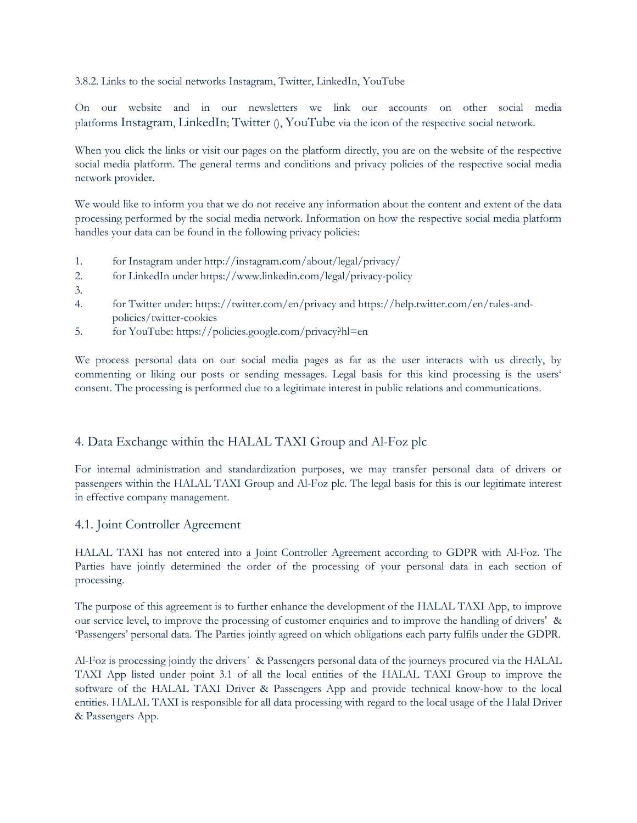3.8.2. Links to the social networks Instagram, Twitter, LinkedIn, YouTube

On our website and in our newsletters we link our accounts on other social media platforms Instagram, LinkedIn; Twitter (), YouTube via the icon of the respective social network.

When you click the links or visit our pages on the platform directly, you are on the website of the respective social media platform. The general terms and conditions and privacy policies of the respective social media network provider.

We would like to inform you that we do not receive any information about the content and extent of the data processing performed by the social media network. Information on how the respective social media platform handles your data can be found in the following privacy policies:

- 1. for Instagram under <http://instagram.com/about/legal/privacy/>
- 2. for LinkedIn under <https://www.linkedin.com/legal/privacy-policy>
- 3.
- 4. for Twitter under: <https://twitter.com/en/privacy> and [https://help.twitter.com/en/rules-and](https://help.twitter.com/en/rules-and-policies/twitter-cookies)[policies/twitter-cookies](https://help.twitter.com/en/rules-and-policies/twitter-cookies)
- 5. for YouTube: <https://policies.google.com/privacy?hl=en>

We process personal data on our social media pages as far as the user interacts with us directly, by commenting or liking our posts or sending messages. Legal basis for this kind processing is the users' consent. The processing is performed due to a legitimate interest in public relations and communications.

# 4. Data Exchange within the HALAL TAXI Group and Al-Foz plc

For internal administration and standardization purposes, we may transfer personal data of drivers or passengers within the HALAL TAXI Group and Al-Foz plc. The legal basis for this is our legitimate interest in effective company management.

# 4.1. Joint Controller Agreement

HALAL TAXI has not entered into a Joint Controller Agreement according to GDPR with Al-Foz. The Parties have jointly determined the order of the processing of your personal data in each section of processing.

The purpose of this agreement is to further enhance the development of the HALAL TAXI App, to improve our service level, to improve the processing of customer enquiries and to improve the handling of drivers' & "Passengers" personal data. The Parties jointly agreed on which obligations each party fulfils under the GDPR.

Al-Foz is processing jointly the drivers´ & Passengers personal data of the journeys procured via the HALAL TAXI App listed under point 3.1 of all the local entities of the HALAL TAXI Group to improve the software of the HALAL TAXI Driver & Passengers App and provide technical know-how to the local entities. HALAL TAXI is responsible for all data processing with regard to the local usage of the Halal Driver & Passengers App.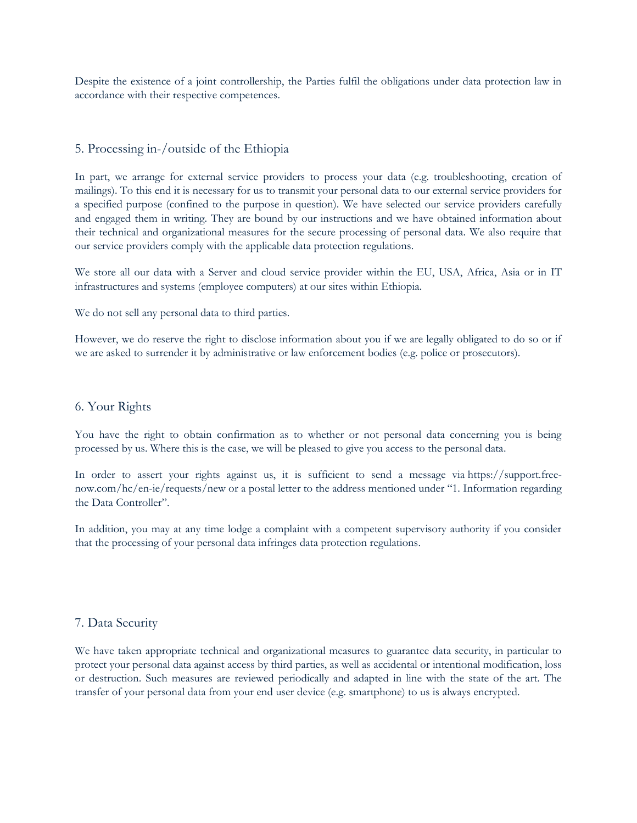Despite the existence of a joint controllership, the Parties fulfil the obligations under data protection law in accordance with their respective competences.

# 5. Processing in-/outside of the Ethiopia

In part, we arrange for external service providers to process your data (e.g. troubleshooting, creation of mailings). To this end it is necessary for us to transmit your personal data to our external service providers for a specified purpose (confined to the purpose in question). We have selected our service providers carefully and engaged them in writing. They are bound by our instructions and we have obtained information about their technical and organizational measures for the secure processing of personal data. We also require that our service providers comply with the applicable data protection regulations.

We store all our data with a Server and cloud service provider within the EU, USA, Africa, Asia or in IT infrastructures and systems (employee computers) at our sites within Ethiopia.

We do not sell any personal data to third parties.

However, we do reserve the right to disclose information about you if we are legally obligated to do so or if we are asked to surrender it by administrative or law enforcement bodies (e.g. police or prosecutors).

# 6. Your Rights

You have the right to obtain confirmation as to whether or not personal data concerning you is being processed by us. Where this is the case, we will be pleased to give you access to the personal data.

In order to assert your rights against us, it is sufficient to send a message via [https://support.free](https://support.free-now.com/hc/en-ie/requests/new)[now.com/hc/en-ie/requests/new](https://support.free-now.com/hc/en-ie/requests/new) or a postal letter to the address mentioned under "1. Information regarding the Data Controller".

In addition, you may at any time lodge a complaint with a competent supervisory authority if you consider that the processing of your personal data infringes data protection regulations.

# 7. Data Security

We have taken appropriate technical and organizational measures to guarantee data security, in particular to protect your personal data against access by third parties, as well as accidental or intentional modification, loss or destruction. Such measures are reviewed periodically and adapted in line with the state of the art. The transfer of your personal data from your end user device (e.g. smartphone) to us is always encrypted.